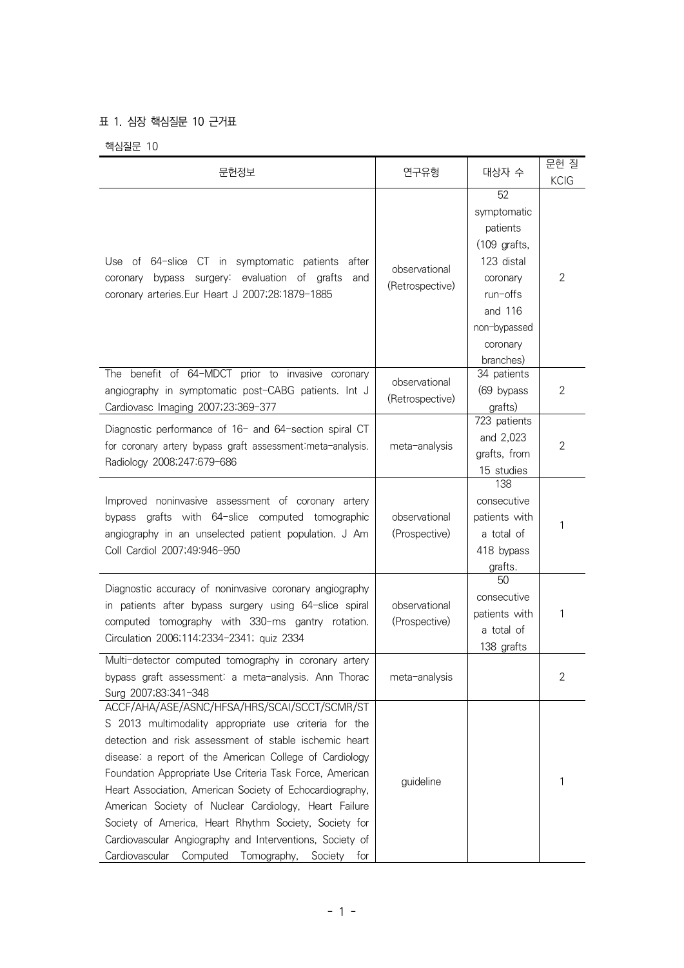## 표 1. 심장 핵심질문 10 근거표

핵심질문 10

| 문헌정보                                                                                                                                                                                                                                                                                                                                                                                                                                                                                                                                                                                   | 연구유형                             | 대상자 수                                                                                                                                     | 문헌 질<br><b>KCIG</b> |
|----------------------------------------------------------------------------------------------------------------------------------------------------------------------------------------------------------------------------------------------------------------------------------------------------------------------------------------------------------------------------------------------------------------------------------------------------------------------------------------------------------------------------------------------------------------------------------------|----------------------------------|-------------------------------------------------------------------------------------------------------------------------------------------|---------------------|
| Use of 64-slice CT in symptomatic patients after<br>coronary bypass surgery: evaluation of grafts<br>and<br>coronary arteries.Eur Heart J 2007;28:1879-1885                                                                                                                                                                                                                                                                                                                                                                                                                            | observational<br>(Retrospective) | 52<br>symptomatic<br>patients<br>$(109$ grafts,<br>123 distal<br>coronary<br>run-offs<br>and 116<br>non-bypassed<br>coronary<br>branches) | 2                   |
| The benefit of 64-MDCT prior to invasive coronary<br>angiography in symptomatic post-CABG patients. Int J<br>Cardiovasc Imaging 2007;23:369-377                                                                                                                                                                                                                                                                                                                                                                                                                                        | observational<br>(Retrospective) | 34 patients<br>(69 bypass<br>grafts)                                                                                                      | 2                   |
| Diagnostic performance of 16- and 64-section spiral CT<br>for coronary artery bypass graft assessment: meta-analysis.<br>Radiology 2008;247:679-686                                                                                                                                                                                                                                                                                                                                                                                                                                    | meta-analysis                    | 723 patients<br>and 2,023<br>grafts, from<br>15 studies                                                                                   | $\overline{2}$      |
| Improved noninvasive assessment of coronary artery<br>bypass grafts with 64-slice computed tomographic<br>angiography in an unselected patient population. J Am<br>Coll Cardiol 2007;49:946-950                                                                                                                                                                                                                                                                                                                                                                                        | observational<br>(Prospective)   | 138<br>consecutive<br>patients with<br>a total of<br>418 bypass<br>grafts.                                                                | 1                   |
| Diagnostic accuracy of noninvasive coronary angiography<br>in patients after bypass surgery using 64-slice spiral<br>computed tomography with 330-ms gantry rotation.<br>Circulation 2006;114:2334-2341; quiz 2334                                                                                                                                                                                                                                                                                                                                                                     | observational<br>(Prospective)   | 50<br>consecutive<br>patients with<br>a total of<br>138 grafts                                                                            | 1                   |
| Multi-detector computed tomography in coronary artery<br>bypass graft assessment: a meta-analysis. Ann Thorac<br>Surg 2007;83:341-348                                                                                                                                                                                                                                                                                                                                                                                                                                                  | meta-analysis                    |                                                                                                                                           | 2                   |
| ACCF/AHA/ASE/ASNC/HFSA/HRS/SCAI/SCCT/SCMR/ST<br>S 2013 multimodality appropriate use criteria for the<br>detection and risk assessment of stable ischemic heart<br>disease: a report of the American College of Cardiology<br>Foundation Appropriate Use Criteria Task Force, American<br>Heart Association, American Society of Echocardiography,<br>American Society of Nuclear Cardiology, Heart Failure<br>Society of America, Heart Rhythm Society, Society for<br>Cardiovascular Angiography and Interventions, Society of<br>Cardiovascular<br>Computed Tomography, Society for | guideline                        |                                                                                                                                           | 1                   |